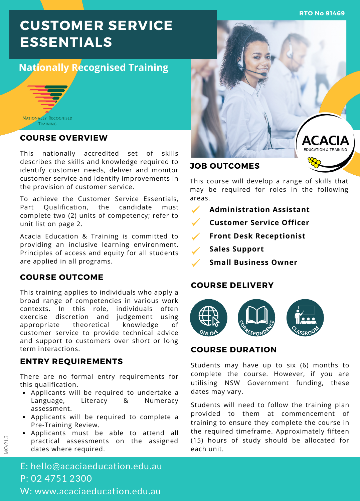**RTO No 91469**

# **CUSTOMER SERVICE ESSENTIALS**

# **Nationally Recognised Training**



#### **COURSE OVERVIEW**

This nationally accredited set of skills describes the skills and knowledge required to identify customer needs, deliver and monitor customer service and identify improvements in the provision of customer service.

To achieve the Customer Service Essentials, Part Qualification, the candidate must complete two (2) units of competency; refer to unit list on page 2.

Acacia Education & Training is committed to providing an inclusive learning environment. Principles of access and equity for all students are applied in all programs.

#### **COURSE OUTCOME**

This training applies to individuals who apply a broad range of competencies in various work contexts. In this role, individuals often exercise discretion and judgement using appropriate theoretical knowledge of customer service to provide technical advice and support to customers over short or long term interactions.

## **ENTRY REQUIREMENTS**

There are no formal entry requirements for this qualification.

- Applicants will be required to undertake a Language, Literacy & Numeracy assessment.
- Applicants will be required to complete a Pre-Training Review.
- Applicants must be able to attend all practical assessments on the assigned dates where required.



#### **JOB OUTCOMES**

This course will develop a range of skills that may be required for roles in the following areas.

- $\checkmark$ **Administration Assistant**
- **Customer Service Officer**
- $\checkmark$ **Front Desk Receptionist**
- **Sales Support**
	- **Small Business Owner**

## **COURSE DELIVERY**



## **COURSE DURATION**

Students may have up to six (6) months to complete the course. However, if you are utilising NSW Government funding, these dates may vary.

Students will need to follow the training plan provided to them at commencement of training to ensure they complete the course in the required timeframe. Approximately fifteen (15) hours of study should be allocated for each unit.

E: hello@acaciaeducation.edu.au P: 02 4751 2300 W: www.acaciaeducation.edu.au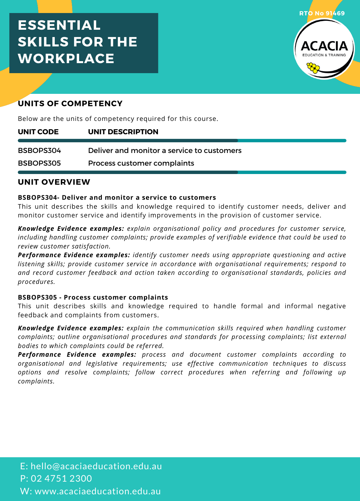# **ESSENTIAL SKILLS FOR THE WORKPLACE**



# **UNITS OF COMPETENCY**

Below are the units of competency required for this course.

| UNIT CODE | UNIT DESCRIPTION                           |
|-----------|--------------------------------------------|
| BSBOPS304 | Deliver and monitor a service to customers |
| BSBOPS305 | Process customer complaints                |

# **UNIT OVERVIEW**

#### **BSBOPS304- Deliver and monitor a service to customers**

This unit describes the skills and knowledge required to identify customer needs, deliver and monitor customer service and identify improvements in the provision of customer service.

*Knowledge Evidence examples: explain organisational policy and procedures for customer service, including handling customer complaints; provide examples of verifiable evidence that could be used to review customer satisfaction.*

*Performance Evidence examples: identify customer needs using appropriate questioning and active listening skills; provide customer service in accordance with organisational requirements; respond to and record customer feedback and action taken according to organisational standards, policies and procedures.*

#### **BSBOPS305 - Process customer complaints**

This unit describes skills and knowledge required to handle formal and informal negative feedback and complaints from customers.

*Knowledge Evidence examples: explain the communication skills required when handling customer complaints; outline organisational procedures and standards for processing complaints; list external bodies to which complaints could be referred.*

*Performance Evidence examples: process and document customer complaints according to organisational and legislative requirements; use effective communication techniques to discuss options and resolve complaints; follow correct procedures when referring and following up complaints.*